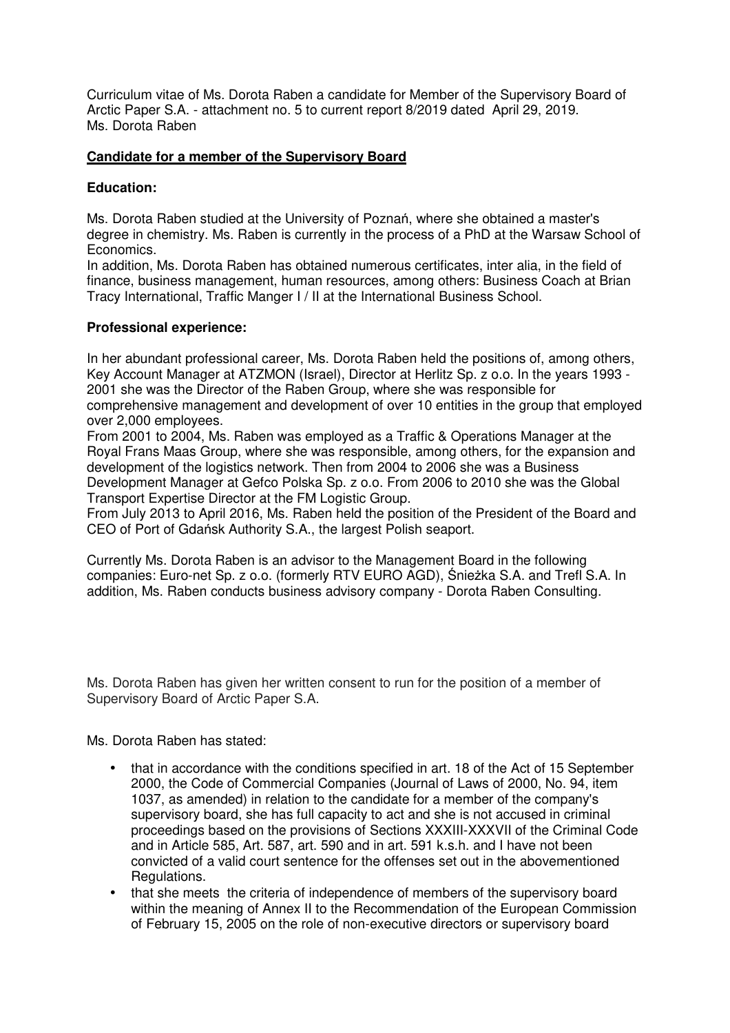Curriculum vitae of Ms. Dorota Raben a candidate for Member of the Supervisory Board of Arctic Paper S.A. - attachment no. 5 to current report 8/2019 dated April 29, 2019. Ms. Dorota Raben

## **Candidate for a member of the Supervisory Board**

## **Education:**

Ms. Dorota Raben studied at the University of Poznań, where she obtained a master's degree in chemistry. Ms. Raben is currently in the process of a PhD at the Warsaw School of Economics.

In addition, Ms. Dorota Raben has obtained numerous certificates, inter alia, in the field of finance, business management, human resources, among others: Business Coach at Brian Tracy International, Traffic Manger I / II at the International Business School.

## **Professional experience:**

In her abundant professional career, Ms. Dorota Raben held the positions of, among others, Key Account Manager at ATZMON (Israel), Director at Herlitz Sp. z o.o. In the years 1993 - 2001 she was the Director of the Raben Group, where she was responsible for comprehensive management and development of over 10 entities in the group that employed over 2,000 employees.

From 2001 to 2004, Ms. Raben was employed as a Traffic & Operations Manager at the Royal Frans Maas Group, where she was responsible, among others, for the expansion and development of the logistics network. Then from 2004 to 2006 she was a Business Development Manager at Gefco Polska Sp. z o.o. From 2006 to 2010 she was the Global Transport Expertise Director at the FM Logistic Group.

From July 2013 to April 2016, Ms. Raben held the position of the President of the Board and CEO of Port of Gdańsk Authority S.A., the largest Polish seaport.

Currently Ms. Dorota Raben is an advisor to the Management Board in the following companies: Euro-net Sp. z o.o. (formerly RTV EURO AGD), Śnieżka S.A. and Trefl S.A. In addition, Ms. Raben conducts business advisory company - Dorota Raben Consulting.

Ms. Dorota Raben has given her written consent to run for the position of a member of Supervisory Board of Arctic Paper S.A.

Ms. Dorota Raben has stated:

- that in accordance with the conditions specified in art. 18 of the Act of 15 September 2000, the Code of Commercial Companies (Journal of Laws of 2000, No. 94, item 1037, as amended) in relation to the candidate for a member of the company's supervisory board, she has full capacity to act and she is not accused in criminal proceedings based on the provisions of Sections XXXIII-XXXVII of the Criminal Code and in Article 585, Art. 587, art. 590 and in art. 591 k.s.h. and I have not been convicted of a valid court sentence for the offenses set out in the abovementioned Regulations.
- that she meets the criteria of independence of members of the supervisory board within the meaning of Annex II to the Recommendation of the European Commission of February 15, 2005 on the role of non-executive directors or supervisory board